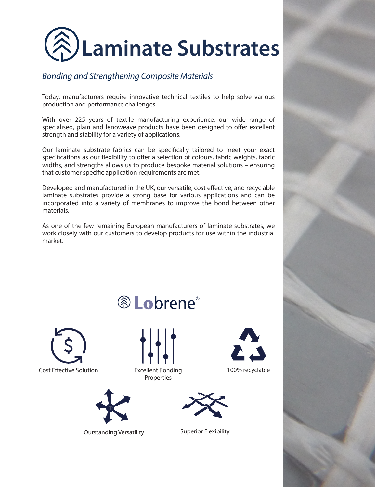

## *Bonding and Strengthening Composite Materials*

Today, manufacturers require innovative technical textiles to help solve various production and performance challenges.

With over 225 years of textile manufacturing experience, our wide range of specialised, plain and lenoweave products have been designed to offer excellent strength and stability for a variety of applications.

Our laminate substrate fabrics can be specifically tailored to meet your exact specifications as our flexibility to offer a selection of colours, fabric weights, fabric widths, and strengths allows us to produce bespoke material solutions – ensuring that customer specific application requirements are met.

Developed and manufactured in the UK, our versatile, cost effective, and recyclable laminate substrates provide a strong base for various applications and can be incorporated into a variety of membranes to improve the bond between other materials.

As one of the few remaining European manufacturers of laminate substrates, we work closely with our customers to develop products for use within the industrial market.





® Lobrene®

Properties



Outstanding Versatility **Superior Flexibility**